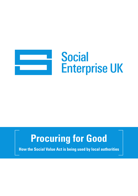

# **Social Enterprise UK**

## **Procuring for Good**

**How the Social Value Act is being used by local authorities**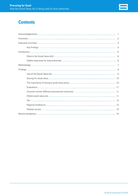

#### **Contents**

| $\begin{minipage}{.4\linewidth} \begin{tabular}{l} \textbf{Introduction} \end{tabular} \end{minipage} \begin{minipage}{.4\linewidth} \begin{tabular}{l} \textbf{5} \end{tabular} \end{minipage}$ |  |
|--------------------------------------------------------------------------------------------------------------------------------------------------------------------------------------------------|--|
|                                                                                                                                                                                                  |  |
|                                                                                                                                                                                                  |  |
|                                                                                                                                                                                                  |  |
|                                                                                                                                                                                                  |  |
|                                                                                                                                                                                                  |  |
|                                                                                                                                                                                                  |  |
|                                                                                                                                                                                                  |  |
|                                                                                                                                                                                                  |  |
|                                                                                                                                                                                                  |  |
|                                                                                                                                                                                                  |  |
|                                                                                                                                                                                                  |  |
|                                                                                                                                                                                                  |  |
|                                                                                                                                                                                                  |  |
|                                                                                                                                                                                                  |  |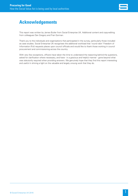

#### **Acknowledgements**

This report was written by James Butler from Social Enterprise UK. Additional content and copy-editing from colleagues Dan Gregory and Fran Gorman.

Thank you to the individuals and organisations that participated in the survey, particularly those included as case studies. Social Enterprise UK recognises the additional workload that 'round robin' Freedom of Information (FoI) requests places upon council officials and would like to thank those working in council procurement and commissioning across the country.

With very few exceptions, officers have taken the time to understand the reasoning behind the questions, asked for clarification where necessary, and have - in a gracious and helpful manner - gone beyond what was statutorily required when providing answers. We genuinely hope that they find this report interesting and useful in shining a light on the valuable and largely unsung work that they do.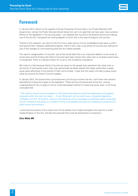

#### **Foreword**

In January 2013, thanks to the support of Social Enterprise UK and others, my Private Member's Bill became law, namely the Public Services (Social Value) Act, and I am glad that we have seen many positive effects of the legislation in the ensuing years. I am pleased that councils of all political colours are making use of the Act but I recognise the varying degree to which this is the case throughout the country.

Thanks to this research, we have for the first time a clear picture of how embedded social value is within local government. Despite substantial progress, there is still a way to go before all councils are making full use of the changes to commissioning that the Act makes possible.

The report's categorisation of councils' use of the Social Value Act is an important addition to the study of social value and the finding that District Councils have been slower than other tiers to embrace social value is recognised. There is a salutary lesson for us all on the limitations of guidance.

My instinct is that because District Councils are closer to the people they represent than other tiers or structures of local government, they may well actually be better placed than larger authorities to apply social value effectively to the benefit of their communities. I hope that this report will help to place social value as a priority for District Council Leaders.

In January 2015, the Government commissioned Lord Young to review the Act, with three main barriers identified as limiting the impact of the legislation. These are around awareness of the Act, varying understanding of how to apply it, and an under-developed method of measuring social value. Lord Young concluded that:

*"The review's central recommendation is that these three barriers should be addressed, and progress reviewed within the next two years… A new Parliament will no doubt have a congested legislative timetable in its first 18 months, ruling out the likelihood of any immediate consideration about extending the Act. However, this gives us a window of time to strengthen the case for increasing its scope across public sector procurement."*

I commend the authors of this report and I firmly believe that it helps strengthen the case for a wider implementation of the Act, and also the potential that could be achieved by its extension.

#### **Chris White MP**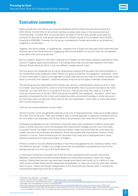#### **Executive summary**

More councils than ever before are using the flexibilities that the Public Services (Social Value) Act 2012 affords. A third (33%) of all councils routinely consider social value in their procurement and commissioning.<sup>1</sup> A further 45% of councils follow the letter of the Act and consider social value for contracts for services for local government above the Official Journal of the European Union (OJEU) threshold of €209,000.<sup>2</sup> However, for this group, consideration of social value tends to be limited and weighting is conservative.

Together, this shows steady - if unspectacular - progress from a study two years ago which examined local authority use of the Social Value Act, suggesting that two-thirds (62%) of councils took into consideration social value when procuring services.<sup>3</sup>

But our research, based on information received from Freedom of Information requests submitted to every council in England, goes beyond statistics. The findings show that councils have reacted to the Public Services (Social Value) Act 2012 in two very different, equally rational, ways.

The first group has interpreted the Act as an empowering measure and has taken the recommendation in the revised Best Value Guidance to heart. Within this group we identify two categories: 'embracers', some of whom have taken a whole council approach to social value and are very likely to routinely consider social value to contracts; and 'adopters', which are actively using the Act but apply it relatively conservatively.

The second group has interpreted the Act literally and narrowly, understanding it places on them a 'duty to consider' securing economic, social or environmental benefits when buying services above the OJEU threshold - but they have few or no tenders of this sort. They do only what they need to, in order to meet the requirements of the Act. Within this group we identify two categories: 'compliers', which have generally incorporated the Act in their commissioning and/or procurement strategy or similar document, but who have really not had much call to use the Act; and 'bystanders', which have no social value policy and no social value activity.

There are some generalisations we can make.

District Councils,4 which are generally relatively small units of local government, rarely issue tenders above the OJEU limit for services. They have tended to take a minimal approach to statutory compliance and are far more likely to be bystanders and far less likely to be embracers than other tiers of local government.

Embracers and adopters are far more likely to have their policy aims contained in a distinct social value policy or similar document which sits alongside their procurement strategy, and are much more likely to actively monitor the impact of their procurement spend. Larger local authorities are more likely than smaller councils to be embracers and adopters. Some have pooled their procurement function, others maintain it in-house. Those embracing the Act are drawn from every tier of local government, every political complexion and nearly every region of England.

Whilst a number of councils offered examples of how they have applied the Act, resulting in better, more cost effective services - notably, not a single council has yet published a comprehensive result of the savings accrued from their use of the Social Value Act.

In conclusion, the barriers to greater use of the Act within local government are both cultural and legislative. Some political and administrative leaders are instinctively innovative, others are innately cautious. Sharing best practice may eventually change some hearts and minds, but it is difficult to see what would motivate those councils categorised as bystanders to make use of the Act other than obliging them to do so. Using Lord Young's5 categorisation in the Social Value Act Review, both a *vertical* and a horizontal strengthening of the Act is required<sup>6</sup>.

<sup>&</sup>lt;sup>1</sup> Embracers plus Adopters – see page 8<br><sup>2</sup> Official Journal of the European Union (OJEU) - <u>http://www.ojec.com/thresholds.aspx</u>

<sup>&</sup>lt;sup>3</sup> Communities Count, Social Enterprise 2014 - www.socialenterprise.org.uk/uploads/files/2014/06/communities count final report.pdf<br><sup>3</sup> See page 12 for an explanation of tiers of local authorities

[www.gov.uk/government/uploads/system/uploads/attachment\\_data/file/403748/Social\\_Value\\_Act\\_review\\_report\\_150212.pdf](http://www.gov.uk/government/uploads/system/uploads/attachment_data/file/403748/Social_Value_Act_review_report_150212.pdf) 6 Horizontal extension would make the Act apply in more situations, but only at the pre-procurement stage; vertical extension would make it more mandatory throughout the commissioning and procurement process. He favoured horizontal extension in the first instance.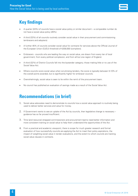

## **Key findings**

- A quarter (24%) of councils have a social value policy or similar document a comparable number do not have a social value policy (26%).
- A third (33%) of all councils routinely consider social value in their procurement and commissioning (embracers and adopters).
- A further 45% of councils consider social value for contracts for services above the Official Journal of the European Union (OJEU) threshold of €209,000 (compliers).
- Embracers councils who are leading the way on social value, are drawn from every tier of local government, from every political complexion, and from all but one region of England.
- A third (32%) of District Councils fall into the bystander category; those making little or no use of the Social Value Act.
- Where councils score social value when scrutinising tenders, the score is typically between 5-10% of the overall points awarded, but is significantly higher for embracer councils.
- Overwhelmingly, social value is seen to lie within the remit of the procurement team.
- No council has published an evaluation of savings made as a result of the Social Value Act.

#### **Recommendations (in brief)**

- 1. Social value advocates need to demonstrate to councils how a social value approach is routinely being used to deliver better services and value for money.
- 2. If Government wants to see an uptake of the Act by councils, then legislative change is necessary guidance has so far proved insufficient.
- 3. Time (and resource) strapped commissioners and procurement teams need better information and more consistent training on social value to help them understand the opportunities of the Act.
- 4. From a practical and academic viewpoint, there is scope for much greater research and formal evaluation of how successfully councils are applying the Act to meet their policy aspirations, the impact of weighting social value in tender evaluations, and the extent to which councils are tracking social value clauses in contracts.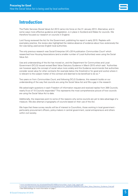

#### **Introduction**

The Public Services (Social Value) Act 2012 came into force on the 31 January 2013. Alternative, and in some ways more effective guidance and legislation, is in place in Scotland and Wales for councils. We therefore focused our research on councils in England.

Lord Young reviewed the Act for the Government, publishing his report in early 2015. Replete with exemplary practice, the review also highlighted the relative absence of evidence about how *extensively* the Act was being used across English local authorities.

The only previous research was Social Enterprise UK's 2014 publication *Communities Count*<sup>7</sup> which researched how Housing Associations (and a smaller number of Local Authorities) were using the Social Value Act.

Use and understanding of the Act has moved on, and the Department for Communities and Local Government (DCLG) issued revised Best Value Statutory Guidance in March 2015 which said: 'Authorities can however apply the concept of social value more widely and this Guidance recommends that authorities consider social value for other contracts (for example below the threshold or for good and works) where it is relevant to the subject matter of the contract and deemed to be beneficial to do so.'9

Two years on from *Communities Count*, and following DCLG Guidance, this research builds on our understanding of the way that councils are using the Social Value Act and fills a gap in the research.

We asked eight questions in each Freedom of Information request and received replies from 306 Councils; nearly 9 out of 10 Councils responded.<sup>9</sup> This represents the most comprehensive picture of how councils are using the Social Value Act to date.

Additionally, the responses point to some of the reasons why some councils are yet to take advantage of a measure. We also attempt a typography of councils based on their use of the Act.

We hope that these survey results will be of interest to Councillors, those working in local government particularly procurement officers, policy-makers in central government, social entrepreneurs and others within civil society.

[www.gov.uk/government/uploads/system/uploads/attachment\\_data/file/418505/Revised\\_Best\\_Value\\_Statutory\\_Guidance\\_final.pdf](http://www.gov.uk/government/uploads/system/uploads/attachment_data/file/418505/Revised_Best_Value_Statutory_Guidance_final.pdf ) <sup>9</sup> See Methodology for more information on page 7

<sup>7</sup> [www.socialenterprise.org.uk/uploads/files/2014/06/communities\\_count\\_final\\_report.pdf](http://www.socialenterprise.org.uk/uploads/files/2014/06/communities_count_final_report.pdf)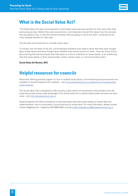

#### **What is the Social Value Act?**

'The Social Value Act asks commissioners to think about securing extra benefits for their area when they are buying services. Before they start procurement, commissioners should think about how the services they are going to buy, or the procurement process they are going to use to buy them, could secure the most valuable benefits for their area.

The Act asks commissioners to consider social value.

To comply with the letter of the Act, commissioners therefore only need to show that they have thought about these issues and have thought about whether they should consult on them. They can show this by documenting the internal process that took place to come to a decision on these issues, or by evidencing that they have spoken to their local provider market, service users, or community about them.'

**Social Value Act Review, 2015**

#### **Helpful resources for councils**

Resources offering practical support on how to embed social value in commissioning and procurement are available on Social Enterprise UK's website – visit [www.socialenterprise.org.uk/advice-services/topic/the](http://www.socialenterprise.org.uk/advice-services/topic/the-social-value-act)[social-value-act](http://www.socialenterprise.org.uk/advice-services/topic/the-social-value-act)

The Social Value Hub is designed to help councils, public sector commissioners and providers from the social and private sectors take advantage of the Social Value Act to deliver better public services and save costs - visit<http://socialvaluehub.org.uk>

Social Enterprise UK offers consultancy to local authorities and other public bodies on Social Value Act implementation: how to commission, procure and buy for social value. For more information, please contact Charlie Wigglesworth - telephone 020 3589 4952 or email [charlie.wigglesworth@socialenterprise.org.uk](mailto:charlie.wigglesworth@socialenterprise.org.uk )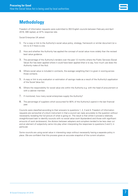

### **Methodology**

Freedom of Information requests were submitted to 353 English councils between February and April 2016; 306 replied, an 87% response rate.

Social Enterprise UK asked:

- 1. For a copy or link to the Authority's social value policy, strategy, framework or similar document (or a link to it) if there is one.
- 2. How and whether the Authority has applied the concept of social value more widely than the revised best value quidance.
- 3. The percentage of the Authority's tenders over the past 12 months where the Public Services (Social Value) Act has been applied where it could have been applied (that is to say, how much use does the Authority make of the Act).
- 4. Where social value is included in contracts, the average weighting that it is given in scoring across those contacts.
- 5. A copy or link to any evaluation or estimation of savings made as a result of the Authority's application of the Social Value Act.
- 6. Where the responsibility for social value sits within the Authority e.g. with the head of procurement or with a cabinet member.
- 7. If monitored, how many social enterprises supply the Authority?
- 8. The percentage of suppliers which accounted for 80% of the Authority's spend in the last financial year.

Councils were classified according to their answers to questions 1, 2, 3 and 4. Freedom of Information requests are somewhat of a blunt instrument in that a council can reply accurately to the question without necessarily revealing the full picture of what is going on. The result is that whilst it proved a relatively straightforward task to identify councils with no social value work (bystanders) and those with significant amounts of work (embracers), the division between adopters and compliers tended to be less clear cut and an element of subjectivity came into play when interpreting the responses to questions 2 and 3, in particular.

Some councils are using social value in interesting ways without necessarily having a separate policy in place. We are confident that this process gives an accurate snapshot of the current situation.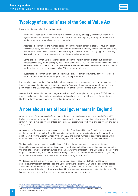

#### **Typology of councils' use of the Social Value Act**

Local authorities broadly fall under 4 categories:

- Embracers. These councils generally have a social value policy, and apply social value wider than legislation requires and often use it for most, if not all, tenders. Typically, scoring for social value in tenders may be quite significant, as much as 30%.
- Adopters. Those that tend to mention social value in their procurement strategy, or have an explicit social value policy and apply it more widely than the threshold. However, despite the ambitious aims, this group is still relatively conservative in how they apply social value in scoring, typically awarding 5% scoring for social value in tenders and apply social value tentatively.
- Compliers. Those that have mentioned social value in their procurement strategy but it is largely hypothetical as they would only apply social value above the OJEU threshold for services and have not generally applied it to many, if any, tenders. Where social value is taken into account in the scoring of tenders, theoretically, many would apply a 5% score for social value.
- Bystanders. Those that haven't got a Social Value Policy (or similar document), don't refer to social value it in their procurement strategy, and have not applied the Act.

Importantly, a small number of councils have been categorised as embracers and adopters as a result of their responses in the *absence of a separate social value policy*. These councils illustrate an important point, made in the *Communities Count<sup>10</sup>* report: clarity of vision comes before everything else.

A council with well-established and integrated policy aims (for example supporting local SMEs) need not *necessarily* have a distinct social value policy explaining how procurement helps complement its vision. But the evidence suggests a strong correlation between the two.

#### **A note about tiers of local government in England**

After centuries of evolution and reform, little is simple about local government structure in England.<sup>11</sup> Following a number of restructures, pooled services and the move to devolution, what we say for definite is that we have a two tier system of local government, except where we have a one tier-system or a three tier-system!

Across most of England there are two tiers comprising Counties and District Councils. In other areas a single tier operates – usually referred to as unitary authorities or metropolitan borough/city council. In addition, we have the Greater London Authority (GLA) and a small number of *sui generis* bodies, which carry out local authority functions. In some areas, we have a third tier of town or parish councils.

Tier is usually, but not always, a good indicator of size, although size itself is a matter of debate (expenditure, expenditure by person, services delivered, geographical coverage, how many people live in the area, etc). However, District Councils are nearly always the smallest tier and Counties are generally the largest; London Boroughs and Metropolitan Borough Councils are somewhere in between; and, Unitary Authorities are generally a bit smaller than Counties but vary enormously.<sup>12</sup>

We focused on the five main types of local authorities - county councils, district councils, unitary authorities, metropolitan districts/cities and London Boroughs - plus the GLA and the sui generis bodies.<sup>13</sup> The distinction between the different tiers is not always as clear cut. In practice, some functions take place at a strategic level through joint boards and locally managed arrangements. With devolution and City Mayors the situation is likely to become more complicated in the short term.

[www.local.gov.uk/c/document\\_library/get\\_file?uuid=a5b2c920-8f40-4eae-9852-8b983724f5bc&groupId=10180](http://www.local.gov.uk/c/document_library/get_file?uuid=a5b2c920-8f40-4eae-9852-8b983724f5bc&groupId=10180) 12 See [www.gov.uk/government/collections/local-authority-revenue-expenditure-and-financing](http://www.gov.uk/government/collections/local-authority-revenue-expenditure-and-financing) for more information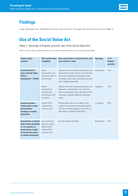## **Findings**

Local Authorities can classified according to the way that they apply the Social Value Act (see Table 1).

### **Use of the Social Value Act**

#### Table 1: Typology of English councils' use of the Social Value Act

Note in some cases a classification has not been possible based on the responses provided.

| <b>Typical policy</b><br>position                                                                                                                         | <b>How social value</b><br>is applied                                                | How social value is accounted for, and<br>how much it's used                                                                                                                                                  | <b>Typology</b>   | $%$ of<br><b>English</b><br>councils |
|-----------------------------------------------------------------------------------------------------------------------------------------------------------|--------------------------------------------------------------------------------------|---------------------------------------------------------------------------------------------------------------------------------------------------------------------------------------------------------------|-------------------|--------------------------------------|
| <b>Councils tend to</b><br>have a Social Value<br>Policy /<br><b>Framework / Toolkit.</b>                                                                 | Below<br>threshold for ser-<br>vices and often to<br>all contracts.                  | Aligned with their political aspirations and<br>social value woven into the way that that<br>the council operates; percentage used<br>in tenders varies and is occasionally very<br>high. Applied frequently. | Embracers         | 14%                                  |
|                                                                                                                                                           | <b>Below</b><br>threshold for<br>services and<br>sometimes to all<br>contracts.      | Aligned with their political aspirations but<br>relatively conservative in the way that<br>SVA is interpreted; often standard 5-10%<br>in tenders. Applied relatively conserva-<br>tively.                    | Adopters          | 19%                                  |
| <b>Council mention</b><br>social value in their<br>procurement<br>strategy or similar<br>document.                                                        | Above OJEU<br>threshold for<br>services only.                                        | Where social value is included in the<br>quality or corporate social responsibility<br>scoring in tender judging it has a 5% or<br>less weight. Applied infrequently.                                         | Compliers         | 45%                                  |
| <b>Council has no Social</b><br><b>Value Policy and little</b><br>or no mention of<br>social value in their<br>procurement policy<br>or similar document. | No information<br>given or strictly<br>above OJEU<br>threshold for<br>services only. | No information provided.                                                                                                                                                                                      | <b>Bystanders</b> | 22%                                  |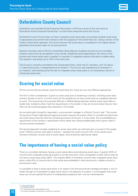#### **Oxfordshire County Council**

Oxfordshire was awarded Social Enterprise Place status in 2014 as a result of the work done by Oxfordshire Social Enterprise Partnership14 to build social enterprise across the County.

Oxfordshire County Council does not have a separate social value policy, but actively embeds social value in appropriate procurement and contracts under the auspices of the Social Value Act. Using a version of the Treasury Green Book approach, the County ensures that social value is considered in the original options appraisals and business cases for its procurements.

Attention has been paid to DCLG's revised Best Value Statutory Guidance and the Council considers whether social value can be applied in every tender. Weighting varies depending on the nature of the contract and where social value is applied it is typically in a separate question that asks for added value. This question may attract up to 10% of the total score.

The Council is currently controlled by the Conservative Party, which has 31 members, with 15 Labour, 11 Liberal Democrats, 4 Independents and 2 Greens.15 The Council was classified as an embracer in our research, demonstrating that the lack of a separate social value policy is not necessarily a barrier to embracing social value.

### **Scoring for social value**

Of the councils that are actively using the Social Value Act, there are two very different approaches.

The first is when consideration is given to social value prior to tendering a contract, including social value contract clauses or terms. Councils which do this typically do not have social value as a separate element to score. This overcomes the purported difficulty in differentiating between diverse social value offers in tender bids; tenderers either meet the requirements in the tender or they do not and where they do, their offer can be scored alongside other elements in the tender.

As one particularly thoughtful respondent, a procurement manager in a District Council, said: '*The routine Procurement Project Appraisal and approval process requires the project officer to consider and document the social value outcomes that the contracting process will secure. In most cases, this is embedded as a requirement of the contract in specification terms rather than optional additionality that is given credit in the procurement evaluation.'*

The second approach includes weighting for social value either as a discrete item or as part of the quality score.<sup>16</sup> Where councils were able to answer<sup>17</sup>, typically this works out at 5-10% of the overall score. However embracer councils tend to score higher, and sometimes significantly higher.

#### **The importance of having a social value policy**

There is a correlation between having a social value policy and embracing social value. A quarter (24%) of councils have a separate social value policy or similar document, and a comparable number told us they do not have a social value policy (26%). The majority (58%) of embracer councils have a separate social value policy, while 42% of councils told us that social was embedded in other documents, notable contract or procurement rules.

It is possible to have a social value policy or to weave it into the procurement strategy and apply it, but it's harder (though not impossible) to apply social value in the absence of a policy. It would appear that social value has not yet reached the point of widespread acceptance that it can be mainstreamed.

- <sup>14</sup> [www.osep.org.uk](http://www.osep.org.uk)<br><sup>15</sup> At February 2016<br><sup>16</sup> Or corporate social responsibility score
- <sup>17</sup> A number indicated is varied from contract to contract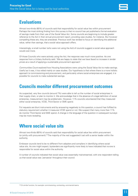

#### **Evaluations**

Almost two-thirds (60%) of councils said that responsibility for social value lies within procurement Perhaps the most striking finding from this survey is that no council has yet published a formal evaluation of savings made from their use of the Social Value Act. Some councils are beginning to include greater reference to the Act in their annual procurement report, providing case studies, for instance. But however compelling these are, they are anecdotal. Previous work has tended to focus on identifying the additional value, rather than savings, that a social value approach offers.

Interestingly, a small number (who were not using the Act) of councils suggest a social value approach would cost more.

Of those Councils who were actively using the Act, the response was much more positive. As one response from a Unitary Authority said: *'We are happy to state that we have faced no increase in tender prices as a result of applying a sustainable procurement approach.'*

*Communities Count* explored how Housing Associations were using the Social Value Act to make savings. Useful as it was, it too relied mainly on case studies. Our hypothesis is that where there is a more holistic approach to commissioning and procurement, and particularly where social enterprises are engaged, it is possible for councils to make substantial savings.

#### **Councils monitor different procurement outcomes**

As suspected, very few councils (around 7%) were able to tell us the number of social enterprises in their supply chain, or plan to monitor it. We acknowledge that in the absence of a legal definition of social enterprise, measurement may be problematic. However, 11% councils volunteered that they measured either social enterprise, VCSE, Third Sector or SME spend.

FoI requests are blunt instruments and by answering negatively to this question, a council has fulfilled its statutory requirement whether it measures VCSE spend or not. We suspect that many more than 11% do monitor Third Sector and SME spend. A change in the language of the question in subsequent surveys may be more revealing.

#### **Where social value sits**

Almost two-thirds (60%) of councils said that responsibility for social value lies within procurement (or jointly with procurement).18 The majority of the rest suggested it sat with a senior leader within the authority.

Embracer councils tend to be no different from adopters and compliers in identifying where social value sits. As one might expect, bystanders are significantly more likely to have indicated that no-one is responsible for social value within the authority.

A number of councils indicated that social value was essentially mainstreamed, with one respondent telling us that social value was *'pervasive'* throughout their council.

<sup>18</sup> Or similar function, for example: commissioning, contracting, commercial teams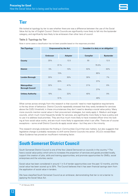#### **Tier**

We looked at typology by tier to see whether there are was a difference between the use of the Social Value Act by tier of English Council. District Councils are significantly more likely to fall into the bystander category, and significantly less likely to be embracers than other tiers of council.

#### Table 2: Typology by Tier

Note in some cases a classification has not been possible based on the responses provided.

| <b>Tier/Typology</b>                          | <b>Empowered by the Act</b> |                | Consider it a duty or an obligation |                  |
|-----------------------------------------------|-----------------------------|----------------|-------------------------------------|------------------|
|                                               | <b>Embracer</b>             | <b>Adopter</b> | <b>Complier</b>                     | <b>Bystander</b> |
| <b>County</b>                                 | 25%                         | 12.5           | 50                                  | 12.5             |
|                                               | 37.%                        |                | 75.5%                               |                  |
| <b>District</b>                               | 5%                          | 10%            | 53%                                 | 32%              |
|                                               | 15%                         |                | 85%                                 |                  |
| <b>London Borough</b>                         | 33%                         | 30%            | 30%                                 | 7%               |
|                                               | 63%                         |                | 37%                                 |                  |
| <b>Metropolitan</b><br><b>Borough Council</b> | 32%                         | 41%            | 21%                                 | 6%               |
|                                               | 73%                         |                | 27%                                 |                  |
| <b>Unitary Authority</b>                      | 19%                         | 32%            | 40%                                 | 9%               |
|                                               | 51%                         |                | 49%                                 |                  |

What comes across strongly from this research is that councils' need to meet legislative requirements is the key driver of behaviour. District Councils repeatedly stressed that they rarely tendered for services above the OJEU threshold; in these circumstances they don't need to develop a social value policy. Many more councils mention social value in their procurement strategies, but rarely apply it. Medium and larger councils, which much more frequently tender for services, are significantly more likely to have a policy and to use it to address local priorities. They are thus much more likely to have invested officer time into looking at how social value works, and are much more likely to appreciate what it can offer. There are of course exceptions – some small District Councils do apply social value – but they are in the minority.

This research strongly endorses the finding in *Communities Count* that size matters, but also suggests that legislative change is probably necessary to shift some District Councils into action. DCLG's revised Best Value Guidance has proved an insufficient motivating factor.

## **South Somerset District Council**

South Somerset District Council is one of the few Liberal Democrat-run councils in the country.19 The have a social value policy which aims to increases the proportion of services and goods provided locally, support the creation of jobs, skills and training opportunities, and promote opportunities for SMEs, social enterprises and the voluntary sector.

Social value has been considered in around 1 in 5 of tender opportunities over the past 12 months, and the social value has been scored up to 30%. The Council believes that it has seen financial savings stem from the application of social value in tenders.

We have classified South Somerset Council as an embracer, demonstrating that tier is not a barrier to applying the Social Value Act.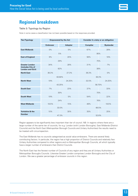### **Regional breakdown**

#### Table 3: Typology by Region

Note in some cases a classification has not been possible based on the responses provided.

| <b>Tier/Typology</b>                                                 | <b>Empowered by the Act</b> |                | Consider it a duty or an obligation |                  |
|----------------------------------------------------------------------|-----------------------------|----------------|-------------------------------------|------------------|
|                                                                      | <b>Embracer</b>             | <b>Adopter</b> | <b>Complier</b>                     | <b>Bystander</b> |
| <b>East Midlands</b>                                                 | $0\%$                       | 5%             | 67%                                 | 28%              |
|                                                                      | 5%                          |                | 95%                                 |                  |
| <b>East of England</b>                                               | 9%                          | 20%            | 56%                                 | 16%              |
|                                                                      | 29%                         |                | 75%                                 |                  |
| <b>Greater London</b><br>(includes City of<br><b>London and GLA)</b> | 34%                         | 28%            | 31%                                 | 7%               |
|                                                                      | 62%                         |                | 38%                                 |                  |
| <b>North East</b>                                                    | 36.3%                       | 27.3%          | 36.3%                               | 0%               |
|                                                                      | 63.60%                      |                | 36.3%                               |                  |
| <b>North West</b>                                                    | 19%                         | 24.25%         | 32.5%                               | 24.25%           |
|                                                                      | 43.25%                      |                | 56.75%                              |                  |
| <b>South East</b>                                                    | 7%                          | 23%            | 37%                                 | 33%              |
|                                                                      | 30%                         |                | 70%                                 |                  |
| <b>South West</b>                                                    | 19%                         | 5%             | 54%                                 | 22%              |
|                                                                      | 24%                         |                | 76%                                 |                  |
| <b>West Midlands</b>                                                 | 18.5%                       | 15%            | 48%                                 | 18.5%            |
|                                                                      | 33.5%                       |                | 66.5%                               |                  |
| <b>Yorkshire &amp; the</b><br><b>Humber</b>                          | 10%                         | 30%            | 35%                                 | 25%              |
|                                                                      | 47.3%                       |                | 52.6%                               |                  |

Region appears to be significantly less important than tier of council. NB: In regions where there are a large number of the same tier of councils, for e.g. London (with London Boroughs), East Midlands (District Councils) and the North East (Metropolitan Borough Councils and Unitary Authorities) the results need to be treated with circumspection.

The East Midlands has no councils categorised as social value embracers. There are several likely contributing factors. In particular, the region has a high proportion of District Councils and relatively few Unitary Authorities compared to other regions and no Metropolitan Borough Councils, all which typically have a larger number of embracers than District Councils.

The North East has the fewest number of Councils of any region and they are all Unitary Authorities or Metropolitan Boroughs Councils. Likewise Greater London comprises London Boroughs and the City of London. We see a greater percentage of embracer councils in this region.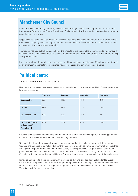

#### **Manchester City Council**

Labour-run Manchester City Council<sup>20</sup>, a Metropolitan Borough Council, has adopted both a Sustainable Procurement Policy and the Greater Manchester Social Value Policy. The latter has been widely adopted by councils across the region.

It applies social value across all contracts. Initially social value was given a minimum of 10% of the overall normalised weighting when scoring tenders, but was increased in November 2015 to a minimum of 20% of the overall 100% normalised weighting.

The Council has also published research into the impacts of the sustainable procurement to independently assess its effectiveness in supporting positive outcomes for its communities through employment, training and apprenticeships.

For its commitment to social value and procurement best practice, we categorise Manchester City Council as an embracer. Manchester demonstrates how a large urban city can embrace social value.

#### **Political control**

#### Table 4: Typology by political control

Notes: (1) In some cases a classification has not been possible based on the responses provided; (2) Some percentages have been rounded up.

|                                                           | <b>Embracer</b> | <b>Adopter</b> | <b>Complier</b> | <b>Bystander</b> |
|-----------------------------------------------------------|-----------------|----------------|-----------------|------------------|
| <b>Conservative</b>                                       | 9%              | 11%            | 49%             | 31%              |
| Labour                                                    | 22%             | 29%            | 33%             | 16%              |
| <b>Liberal Democrat</b>                                   | 13%             | 13%            | 75%             | $0\%$            |
| <b>No Overall Control/</b><br>Independent/<br>Non-aligned | 15%             | 23%            | 49%             | 15%              |

Councils of all political denominations and those with no overall control by one party are making good use of the Act. Political control is no barrier to embracing social value.

Unitary Authorities, Metropolitan Borough Councils and London Boroughs are more likely than District Councils and Counties to be held by Labour than Conservative and vice versa. So we strongly suspect that the apparent slight differences in how enthusiastically political groups are using the Social Value Act is partly driven by tier – as described above - rather than politics. The figures, once again, reflect that District Councils, which are predominately held by the Conservatives, are not making much use of the social value.

It may be a surprise to those unfamiliar with local politics that unaligned and councils under No Overall Control are making use of the Social Value Act; one might assume that change is difficult in these councils. However, local politicians are nothing if not pragmatic and are clearly finding a way to make the Social Value Act work for their communities.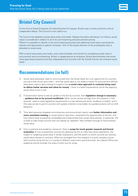

#### **Bristol City Council**

At the time of Social Enterprise UK submitting the FoI request, Bristol was a Unitary Authority with an Independent Mayor. The Council is now Labour-run.

The Council has adopted a social value policy and toolkit. Despite the policy still being in its infancy, social value is considered in relation to all of its commissioning and procurement activity. Where it is possible to identify in the commissioning process that additional social value outcomes are relevant and appropriate to specific contracts, 10% of the quality element of the price/quality ratio is allocated to social value.

With a social value policy and toolkit, and a demonstrable commitment to considering social value in procurement and commissioning, Bristol is categorised as an embracer. Bristol demonstrates that social value goes beyond politics and that independent and Councils with No Overall Control can embrace social value.

## **Recommendations (in full)**

- 1. Social value advocates need to communicate how the Social Value Act is an opportunity for councils, not just a duty thrust upon them – and that social value is not solely a matter for procurement officers. Advocates need to demonstrate to sceptics how **a social value approach is routinely being used to deliver better services and value for money** – there is a belief expressed by some that applying social value incurs a cost.
- 2. If Government wants to see an uptake of the Act by councils, then **legislative change is necessary – guidance has so far proved insufficient.** What comes across strongly from this research is that councils' need to meet legislative requirements is a key behavioural driver. Guidance is helpful, and in this case serves to permit councils with greater ambition to be bolder, but guidance alone will not shift behaviour.
- 3. Time (and resource) strapped commissioners and procurement teams need **better information and more consistent training** on social value to help them understand the opportunities of the Act, and how others have successfully embedded and implemented their social value policies. In particular, this is likely to help those councils who we classify as 'adopters' feel confident enough to fully embrace social value.
- 4. From a practical and academic viewpoint, there is **scope for much greater research and formal evaluation** of how successfully councils are applying the Act to meet their policy aspirations, the impact of weighting social value in tender evaluations, and the extent to which councils are tracking social value clauses in contracts. What has emerged from this research is a quite complex picture with councils using the Act in a myriad of different ways and Local Authorities, the Cabinet Office and academia should consider this area a fruitful one for study.